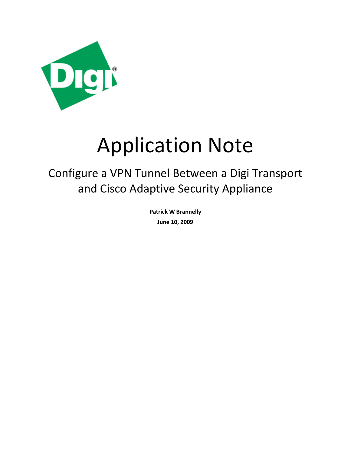

# Application Note

## Configure a VPN Tunnel Between a Digi Transport and Cisco Adaptive Security Appliance

**Patrick W Brannelly June 10, 2009**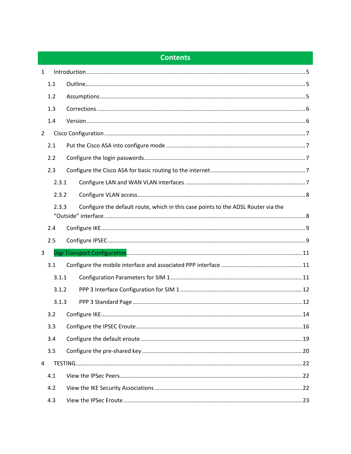## **Contents**

| 1              |       |                                                                                   |  |  |
|----------------|-------|-----------------------------------------------------------------------------------|--|--|
|                | 1.1   |                                                                                   |  |  |
|                | 1.2   |                                                                                   |  |  |
|                | 1.3   |                                                                                   |  |  |
|                | 1.4   |                                                                                   |  |  |
| $\overline{2}$ |       |                                                                                   |  |  |
|                | 2.1   |                                                                                   |  |  |
|                | 2.2   |                                                                                   |  |  |
|                | 2.3   |                                                                                   |  |  |
|                | 2.3.1 |                                                                                   |  |  |
|                | 2.3.2 |                                                                                   |  |  |
|                | 2.3.3 | Configure the default route, which in this case points to the ADSL Router via the |  |  |
|                | 2.4   |                                                                                   |  |  |
|                | 2.5   |                                                                                   |  |  |
| 3              |       |                                                                                   |  |  |
|                |       |                                                                                   |  |  |
|                | 3.1   |                                                                                   |  |  |
|                | 3.1.1 |                                                                                   |  |  |
|                | 3.1.2 |                                                                                   |  |  |
|                | 3.1.3 |                                                                                   |  |  |
|                | 3.2   |                                                                                   |  |  |
|                | 3.3   |                                                                                   |  |  |
|                | 3.4   |                                                                                   |  |  |
|                | 3.5   |                                                                                   |  |  |
| 4              |       |                                                                                   |  |  |
|                | 4.1   |                                                                                   |  |  |
|                | 4.2   |                                                                                   |  |  |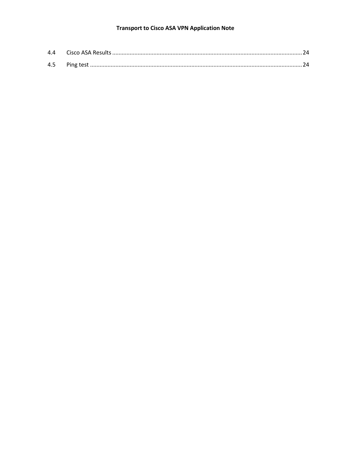#### **Transport to Cisco ASA VPN Application Note**

| 4.5 |  |
|-----|--|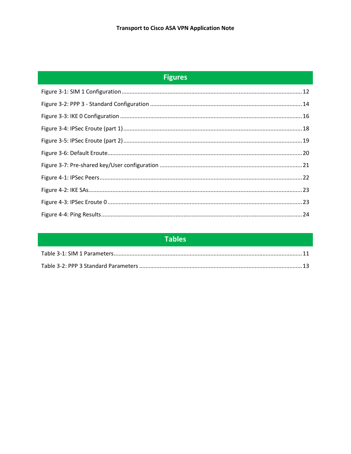## **Figures**

| <b>Tables</b> |  |
|---------------|--|
|               |  |
|               |  |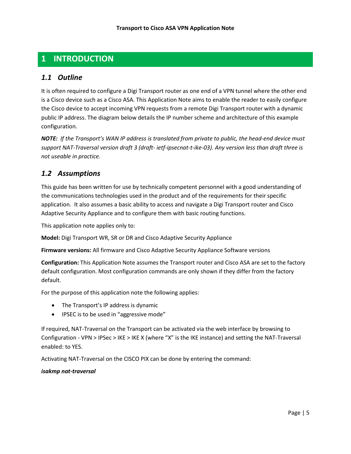## <span id="page-4-0"></span>**1 INTRODUCTION**

#### <span id="page-4-1"></span>*1.1 Outline*

It is often required to configure a Digi Transport router as one end of a VPN tunnel where the other end is a Cisco device such as a Cisco ASA. This Application Note aims to enable the reader to easily configure the Cisco device to accept incoming VPN requests from a remote Digi Transport router with a dynamic public IP address. The diagram below details the IP number scheme and architecture of this example configuration.

*NOTE: If the Transport's WAN IP address is translated from private to public, the head-end device must support NAT-Traversal version draft 3 (draft- ietf-ipsecnat-t-ike-03). Any version less than draft three is not useable in practice.*

## <span id="page-4-2"></span>*1.2 Assumptions*

This guide has been written for use by technically competent personnel with a good understanding of the communications technologies used in the product and of the requirements for their specific application. It also assumes a basic ability to access and navigate a Digi Transport router and Cisco Adaptive Security Appliance and to configure them with basic routing functions.

This application note applies only to:

**Model:** Digi Transport WR, SR or DR and Cisco Adaptive Security Appliance

**Firmware versions:** All firmware and Cisco Adaptive Security Appliance Software versions

**Configuration:** This Application Note assumes the Transport router and Cisco ASA are set to the factory default configuration. Most configuration commands are only shown if they differ from the factory default.

For the purpose of this application note the following applies:

- The Transport's IP address is dynamic
- IPSEC is to be used in "aggressive mode"

If required, NAT-Traversal on the Transport can be activated via the web interface by browsing to Configuration - VPN > IPSec > IKE > IKE X (where "X" is the IKE instance) and setting the NAT-Traversal enabled: to YES.

Activating NAT-Traversal on the CISCO PIX can be done by entering the command:

#### *isakmp nat-traversal*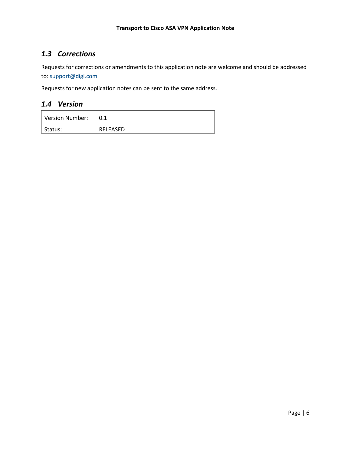## <span id="page-5-0"></span>*1.3 Corrections*

Requests for corrections or amendments to this application note are welcome and should be addressed to: support@digi.com

Requests for new application notes can be sent to the same address.

#### <span id="page-5-1"></span>*1.4 Version*

| Version Number: |                 |
|-----------------|-----------------|
| l Status:       | <b>RELEASED</b> |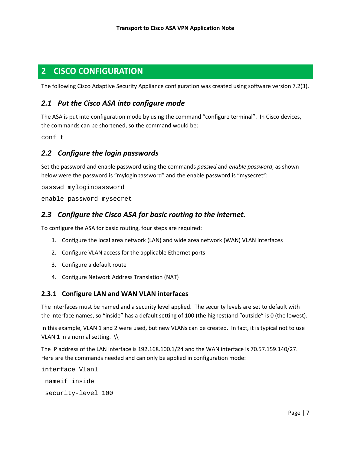## <span id="page-6-0"></span>**2 CISCO CONFIGURATION**

The following Cisco Adaptive Security Appliance configuration was created using software version 7.2(3).

## <span id="page-6-1"></span>*2.1 Put the Cisco ASA into configure mode*

The ASA is put into configuration mode by using the command "configure terminal". In Cisco devices, the commands can be shortened, so the command would be:

conf t

## <span id="page-6-2"></span>*2.2 Configure the login passwords*

Set the password and enable password using the commands *passwd* and *enable password*, as shown below were the password is "myloginpassword" and the enable password is "mysecret":

passwd myloginpassword

enable password mysecret

## <span id="page-6-3"></span>*2.3 Configure the Cisco ASA for basic routing to the internet.*

To configure the ASA for basic routing, four steps are required:

- 1. Configure the local area network (LAN) and wide area network (WAN) VLAN interfaces
- 2. Configure VLAN access for the applicable Ethernet ports
- 3. Configure a default route
- 4. Configure Network Address Translation (NAT)

#### <span id="page-6-4"></span>**2.3.1 Configure LAN and WAN VLAN interfaces**

The interfaces must be named and a security level applied. The security levels are set to default with the interface names, so "inside" has a default setting of 100 (the highest)and "outside" is 0 (the lowest).

In this example, VLAN 1 and 2 were used, but new VLANs can be created. In fact, it is typical not to use VLAN 1 in a normal setting.  $\setminus$ 

The IP address of the LAN interface is 192.168.100.1/24 and the WAN interface is 70.57.159.140/27. Here are the commands needed and can only be applied in configuration mode:

```
interface Vlan1
nameif inside
 security-level 100
```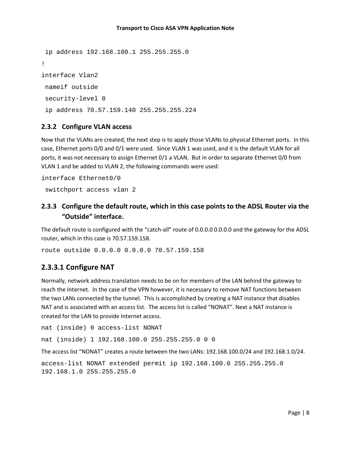```
ip address 192.168.100.1 255.255.255.0
!
interface Vlan2
nameif outside
security-level 0
 ip address 70.57.159.140 255.255.255.224
```
#### <span id="page-7-0"></span>**2.3.2 Configure VLAN access**

Now that the VLANs are created, the next step is to apply those VLANs to physical Ethernet ports. In this case, Ethernet ports 0/0 and 0/1 were used. Since VLAN 1 was used, and it is the default VLAN for all ports, it was not necessary to assign Ethernet 0/1 a VLAN. But in order to separate Ethernet 0/0 from VLAN 1 and be added to VLAN 2, the following commands were used:

```
interface Ethernet0/0
 switchport access vlan 2
```
## <span id="page-7-1"></span>**2.3.3 Configure the default route, which in this case points to the ADSL Router via the "Outside" interface.**

The default route is configured with the "catch-all" route of 0.0.0.0 0.0.0.0 and the gateway for the ADSL router, which in this case is 70.57.159.158.

route outside 0.0.0.0 0.0.0.0 70.57.159.158

#### **2.3.3.1 Configure NAT**

Normally, network address translation needs to be on for members of the LAN behind the gateway to reach the Internet. In the case of the VPN however, it is necessary to remove NAT functions between the two LANs connected by the tunnel. This is accomplished by creating a NAT instance that disables NAT and is associated with an access list. The access list is called "NONAT". Next a NAT instance is created for the LAN to provide Internet access.

```
nat (inside) 0 access-list NONAT
```
nat (inside) 1 192.168.100.0 255.255.255.0 0 0

The access list "NONAT" creates a route between the two LANs: 192.168.100.0/24 and 192.168.1.0/24.

```
access-list NONAT extended permit ip 192.168.100.0 255.255.255.0 
192.168.1.0 255.255.255.0
```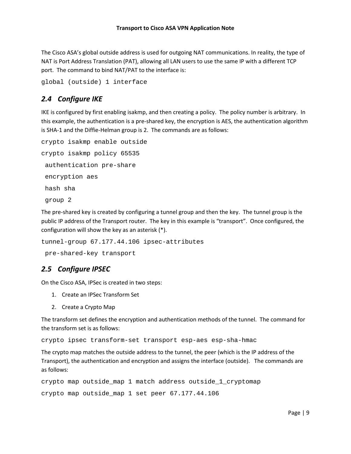The Cisco ASA's global outside address is used for outgoing NAT communications. In reality, the type of NAT is Port Address Translation (PAT), allowing all LAN users to use the same IP with a different TCP port. The command to bind NAT/PAT to the interface is:

global (outside) 1 interface

## <span id="page-8-0"></span>*2.4 Configure IKE*

IKE is configured by first enabling isakmp, and then creating a policy. The policy number is arbitrary. In this example, the authentication is a pre-shared key, the encryption is AES, the authentication algorithm is SHA-1 and the Diffie-Helman group is 2. The commands are as follows:

```
crypto isakmp enable outside
crypto isakmp policy 65535
authentication pre-share
encryption aes
hash sha
group 2
```
The pre-shared key is created by configuring a tunnel group and then the key. The tunnel group is the public IP address of the Transport router. The key in this example is "transport". Once configured, the configuration will show the key as an asterisk (\*).

```
tunnel-group 67.177.44.106 ipsec-attributes
pre-shared-key transport
```
## <span id="page-8-1"></span>*2.5 Configure IPSEC*

On the Cisco ASA, IPSec is created in two steps:

- 1. Create an IPSec Transform Set
- 2. Create a Crypto Map

The transform set defines the encryption and authentication methods of the tunnel. The command for the transform set is as follows:

crypto ipsec transform-set transport esp-aes esp-sha-hmac

The crypto map matches the outside address to the tunnel, the peer (which is the IP address of the Transport), the authentication and encryption and assigns the interface (outside). The commands are as follows:

```
crypto map outside_map 1 match address outside_1_cryptomap
crypto map outside_map 1 set peer 67.177.44.106
```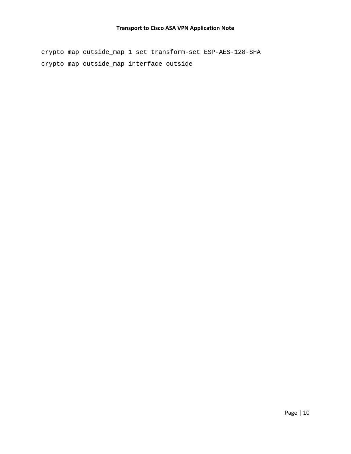#### **Transport to Cisco ASA VPN Application Note**

crypto map outside\_map 1 set transform-set ESP-AES-128-SHA crypto map outside\_map interface outside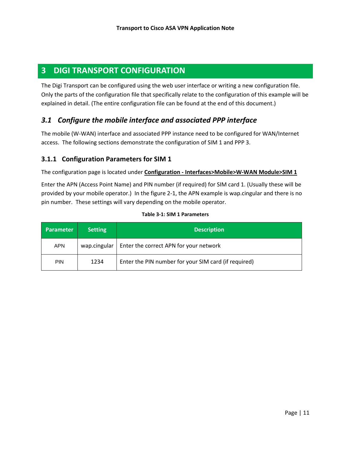## <span id="page-10-0"></span>**3 DIGI TRANSPORT CONFIGURATION**

The Digi Transport can be configured using the web user interface or writing a new configuration file. Only the parts of the configuration file that specifically relate to the configuration of this example will be explained in detail. (The entire configuration file can be found at the end of this document.)

## <span id="page-10-1"></span>*3.1 Configure the mobile interface and associated PPP interface*

The mobile (W-WAN) interface and associated PPP instance need to be configured for WAN/Internet access. The following sections demonstrate the configuration of SIM 1 and PPP 3.

#### <span id="page-10-2"></span>**3.1.1 Configuration Parameters for SIM 1**

The configuration page is located under **Configuration - Interfaces>Mobile>W-WAN Module>SIM 1** 

Enter the APN (Access Point Name) and PIN number (if required) for SIM card 1. (Usually these will be provided by your mobile operator.) In the figure 2-1, the APN example is wap.cingular and there is no pin number. These settings will vary depending on the mobile operator.

<span id="page-10-3"></span>

| <b>Parameter</b> | <b>Setting</b> | <b>Description</b>                                   |
|------------------|----------------|------------------------------------------------------|
| <b>APN</b>       | wap.cingular   | Enter the correct APN for your network               |
| <b>PIN</b>       | 1234           | Enter the PIN number for your SIM card (if required) |

#### **Table 3-1: SIM 1 Parameters**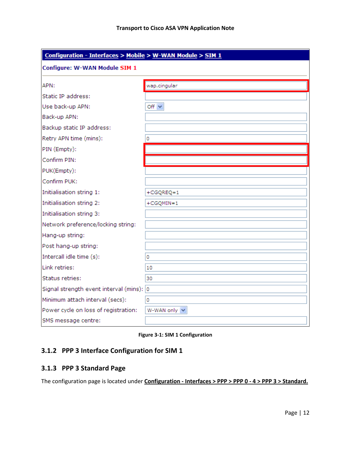| Configuration - Interfaces > Mobile > W-WAN Module > SIM 1 |               |  |  |
|------------------------------------------------------------|---------------|--|--|
| Configure: W-WAN Module SIM 1                              |               |  |  |
| APN:                                                       | wap.cingular  |  |  |
| Static IP address:                                         |               |  |  |
| Use back-up APN:                                           | Off $\vee$    |  |  |
| Back-up APN:                                               |               |  |  |
| Backup static IP address:                                  |               |  |  |
| Retry APN time (mins):                                     | 0             |  |  |
| PIN (Empty):                                               |               |  |  |
| Confirm PIN:                                               |               |  |  |
| PUK(Empty):                                                |               |  |  |
| Confirm PUK:                                               |               |  |  |
| Initialisation string 1:                                   | $+CGQREQ=1$   |  |  |
| Initialisation string 2:                                   | $+CGQMIN = 1$ |  |  |
| Initialisation string 3:                                   |               |  |  |
| Network preference/locking string:                         |               |  |  |
| Hang-up string:                                            |               |  |  |
| Post hang-up string:                                       |               |  |  |
| Intercall idle time (s):                                   | 0             |  |  |
| Link retries:                                              | 10            |  |  |
| Status retries:                                            | 30            |  |  |
| Signal strength event interval (mins): 0                   |               |  |  |
| Minimum attach interval (secs):                            | 0             |  |  |
| Power cycle on loss of registration:                       | W-WAN only V  |  |  |
| SMS message centre:                                        |               |  |  |

**Figure 3-1: SIM 1 Configuration**

## <span id="page-11-2"></span><span id="page-11-0"></span>**3.1.2 PPP 3 Interface Configuration for SIM 1**

#### <span id="page-11-1"></span>**3.1.3 PPP 3 Standard Page**

The configuration page is located under **Configuration - Interfaces > PPP > PPP 0 - 4 > PPP 3 > Standard.**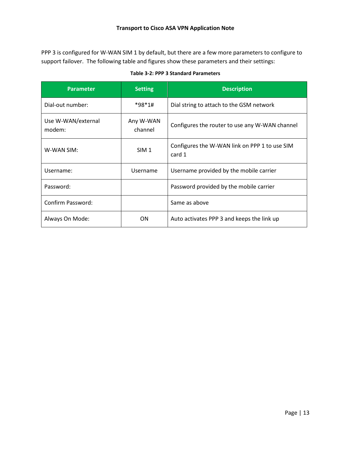PPP 3 is configured for W-WAN SIM 1 by default, but there are a few more parameters to configure to support failover. The following table and figures show these parameters and their settings:

| Table 3-2: PPP 3 Standard Parameters |  |  |
|--------------------------------------|--|--|
|--------------------------------------|--|--|

<span id="page-12-0"></span>

| <b>Parameter</b>             | <b>Setting</b>       | <b>Description</b>                                      |
|------------------------------|----------------------|---------------------------------------------------------|
| Dial-out number:             | *98*1#               | Dial string to attach to the GSM network                |
| Use W-WAN/external<br>modem: | Any W-WAN<br>channel | Configures the router to use any W-WAN channel          |
| W-WAN SIM:                   | SIM <sub>1</sub>     | Configures the W-WAN link on PPP 1 to use SIM<br>card 1 |
| Username:                    | Username             | Username provided by the mobile carrier                 |
| Password:                    |                      | Password provided by the mobile carrier                 |
| Confirm Password:            |                      | Same as above                                           |
| Always On Mode:              | ON.                  | Auto activates PPP 3 and keeps the link up              |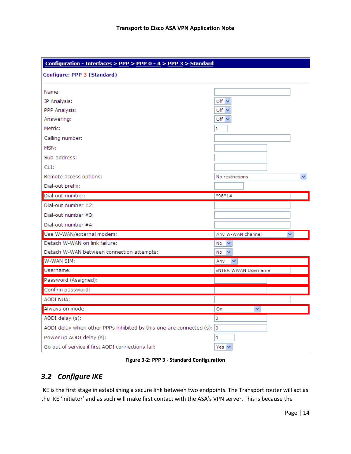| Configuration - Interfaces > PPP > PPP 0 - 4 > PPP 3 > Standard          |                            |  |  |
|--------------------------------------------------------------------------|----------------------------|--|--|
| Configure: PPP 3 (Standard)                                              |                            |  |  |
|                                                                          |                            |  |  |
| Name:                                                                    |                            |  |  |
| IP Analysis:                                                             | Off $\vee$                 |  |  |
| PPP Analysis:                                                            | Off $\vee$                 |  |  |
| Answering:                                                               | Off $\vee$                 |  |  |
| Metric:                                                                  | 1                          |  |  |
| Calling number:                                                          |                            |  |  |
| MSN:                                                                     |                            |  |  |
| Sub-address:                                                             |                            |  |  |
| CLI:                                                                     |                            |  |  |
| Remote access options:                                                   | No restrictions            |  |  |
| Dial-out prefix:                                                         |                            |  |  |
| Dial-out number:                                                         | *98*1#                     |  |  |
| Dial-out number #2:                                                      |                            |  |  |
| Dial-out number #3:                                                      |                            |  |  |
| Dial-out number #4:                                                      |                            |  |  |
| Use W-WAN/external modem:                                                | Any W-WAN channel<br>×.    |  |  |
| Detach W-WAN on link failure:                                            | $No \t\t\vee$              |  |  |
| Detach W-WAN between connection attempts:                                | $No \quad \forall$         |  |  |
| W-WAN SIM:                                                               | Any<br>$\checkmark$        |  |  |
| Username:                                                                | <b>ENTER WWAN Username</b> |  |  |
| Password (Assigned):                                                     |                            |  |  |
| Confirm password:                                                        |                            |  |  |
| <b>AODI NUA:</b>                                                         |                            |  |  |
| Always on mode:                                                          | On<br>v                    |  |  |
| AODI delay (s):                                                          | 0                          |  |  |
| AODI delay when other PPPs inhibited by this one are connected $(s)$ : 0 |                            |  |  |
| Power up AODI delay (s):                                                 | 0                          |  |  |
| Go out of service if first AODI connections fail:                        | Yes $\vee$                 |  |  |

**Figure 3-2: PPP 3 - Standard Configuration**

## <span id="page-13-1"></span><span id="page-13-0"></span>*3.2 Configure IKE*

IKE is the first stage in establishing a secure link between two endpoints. The Transport router will act as the IKE 'initiator' and as such will make first contact with the ASA's VPN server. This is because the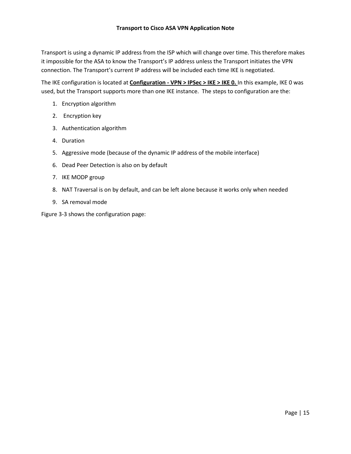Transport is using a dynamic IP address from the ISP which will change over time. This therefore makes it impossible for the ASA to know the Transport's IP address unless the Transport initiates the VPN connection. The Transport's current IP address will be included each time IKE is negotiated.

The IKE configuration is located at **Configuration - VPN > IPSec > IKE > IKE 0.**  In this example, IKE 0 was used, but the Transport supports more than one IKE instance. The steps to configuration are the:

- 1. Encryption algorithm
- 2. Encryption key
- 3. Authentication algorithm
- 4. Duration
- 5. Aggressive mode (because of the dynamic IP address of the mobile interface)
- 6. Dead Peer Detection is also on by default
- 7. IKE MODP group
- 8. NAT Traversal is on by default, and can be left alone because it works only when needed
- 9. SA removal mode

Figure 3-3 shows the configuration page: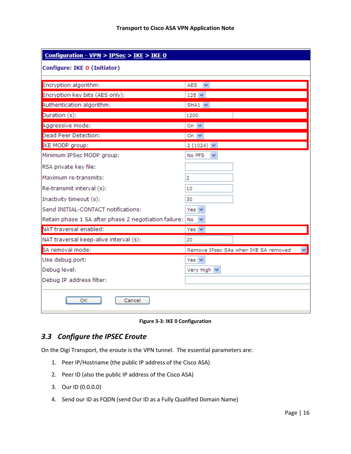| Configuration - VPN > $IPSec$ > IKE > IKE 0          |                                      |  |
|------------------------------------------------------|--------------------------------------|--|
| Configure: IKE 0 (Initiator)                         |                                      |  |
|                                                      |                                      |  |
| Encryption algorithm:                                | $AES \tightharpoonup$                |  |
| Encryption key bits (AES only):                      | $128 \times$                         |  |
| Authentication algorithm:                            | $SHA1 \times$                        |  |
| Duration (s):                                        | 1200                                 |  |
| Aggressive mode:                                     | On $\vee$                            |  |
| <b>Dead Peer Detection:</b>                          | On $\vee$                            |  |
| IKE MODP group:                                      | $2(1024)$ $\vee$                     |  |
| Minimum IPSec MODP group:                            | No PFS<br>▽                          |  |
| RSA private key file:                                |                                      |  |
| Maximum re-transmits:                                | 2                                    |  |
| Re-transmit interval (s):                            | 10                                   |  |
| Inactivity timeout (s):                              | 30                                   |  |
| Send INITIAL-CONTACT notifications:                  | Yes $\vee$                           |  |
| Retain phase 1 SA after phase 2 negotiation failure: | No<br>$\checkmark$                   |  |
| NAT traversal enabled:                               | Yes $\vee$                           |  |
| NAT traversal keep-alive interval (s):               | 20                                   |  |
| SA removal mode:                                     | Remove IPsec SAs when IKE SA removed |  |
| Use debug port:                                      | Yes $\vee$                           |  |
| Debug level:                                         | Very High V                          |  |
| Debug IP address filter:                             |                                      |  |
| ОΚ<br>Cancel                                         |                                      |  |

**Figure 3-3: IKE 0 Configuration**

## <span id="page-15-1"></span><span id="page-15-0"></span>*3.3 Configure the IPSEC Eroute*

On the Digi Transport, the eroute is the VPN tunnel. The essential parameters are:

- 1. Peer IP/Hostname (the public IP address of the Cisco ASA)
- 2. Peer ID (also the public IP address of the Cisco ASA)
- 3. Our ID (0.0.0.0)
- 4. Send our ID as FQDN (send Our ID as a Fully Qualified Domain Name)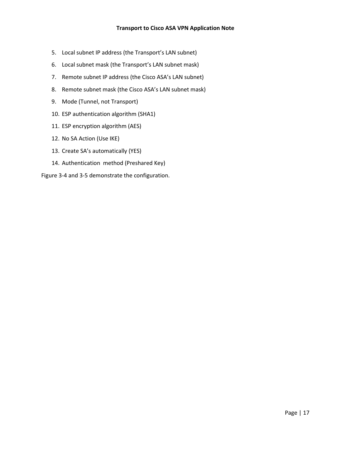- 5. Local subnet IP address (the Transport's LAN subnet)
- 6. Local subnet mask (the Transport's LAN subnet mask)
- 7. Remote subnet IP address (the Cisco ASA's LAN subnet)
- 8. Remote subnet mask (the Cisco ASA's LAN subnet mask)
- 9. Mode (Tunnel, not Transport)
- 10. ESP authentication algorithm (SHA1)
- 11. ESP encryption algorithm (AES)
- 12. No SA Action (Use IKE)
- 13. Create SA's automatically (YES)
- 14. Authentication method (Preshared Key)

Figure 3-4 and 3-5 demonstrate the configuration.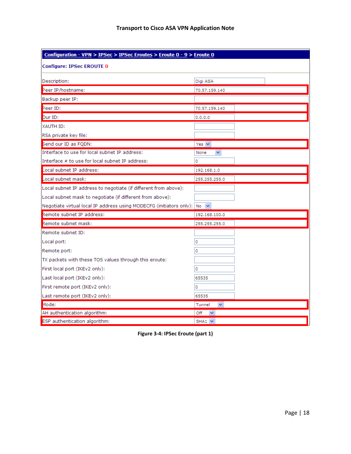| Configuration - VPN > IPSec > IPSec Eroutes > Eroute 0 - 9 > Eroute 0            |                                 |  |  |
|----------------------------------------------------------------------------------|---------------------------------|--|--|
| <b>Configure: IPSec EROUTE 0</b>                                                 |                                 |  |  |
| Description:                                                                     | Digi ASA                        |  |  |
| Peer IP/hostname:                                                                | 70.57.159.140                   |  |  |
| Backup peer IP:                                                                  |                                 |  |  |
| Peer ID:                                                                         | 70.57.159.140                   |  |  |
| Our ID:                                                                          | 0.0.0.0                         |  |  |
| XAUTH ID:                                                                        |                                 |  |  |
| RSA private key file:                                                            |                                 |  |  |
| Send our ID as FQDN:                                                             | Yes $\vee$                      |  |  |
| Interface to use for local subnet IP address:                                    | ×.<br>None                      |  |  |
| Interface # to use for local subnet IP address:                                  | 0                               |  |  |
| Local subnet IP address:                                                         | 192.168.1.0                     |  |  |
| Local subnet mask:                                                               | 255.255.255.0                   |  |  |
| Local subnet IP address to negotiate (if different from above):                  |                                 |  |  |
| Local subnet mask to negotiate (if different from above):                        |                                 |  |  |
| Negotiate virtual local IP address using MODECFG (initiators only): $ N_0  \vee$ |                                 |  |  |
| Remote subnet IP address:                                                        | 192.168.100.0                   |  |  |
| Remote subnet mask:                                                              | 255.255.255.0                   |  |  |
| Remote subnet ID:                                                                |                                 |  |  |
| Local port:                                                                      | 0                               |  |  |
| Remote port:                                                                     | 0                               |  |  |
| TX packets with these TOS values through this eroute:                            |                                 |  |  |
| First local port (IKEv2 only):                                                   | 0                               |  |  |
| Last local port (IKEv2 only):                                                    | 65535                           |  |  |
| First remote port (IKEv2 only):                                                  | ٥                               |  |  |
| Last remote port (IKEv2 only):                                                   | 65535                           |  |  |
| Mode:                                                                            | Tunnel<br>$\checkmark$          |  |  |
| AH authentication algorithm:                                                     | Off<br>$\overline{\phantom{a}}$ |  |  |
| ESP authentication algorithm:                                                    | $SHA1 \vee$                     |  |  |

<span id="page-17-0"></span>**Figure 3-4: IPSec Eroute (part 1)**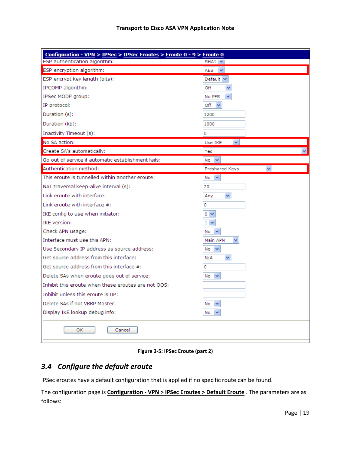| Configuration - VPN > IPSec > IPSec Eroutes > Eroute 0 - 9 > Eroute 0 |                                |
|-----------------------------------------------------------------------|--------------------------------|
| ESP authentication algorithm:                                         | $SHA1 \times$                  |
| ESP encryption algorithm:                                             | $AES \tightharpoonup$          |
| ESP encrypt key length (bits):                                        | Default $\vee$                 |
| IPCOMP algorithm:                                                     | Off                            |
| IPSec MODP group:                                                     | No PFS                         |
| IP protocol:                                                          | Off<br>$\checkmark$            |
| Duration (s):                                                         | 1200                           |
| Duration (kb):                                                        | 1000                           |
| Inactivity Timeout (s):                                               | O                              |
| No SA action:                                                         | Use IKE<br>$\checkmark$        |
| Create SA's automatically:                                            | Yes                            |
| Go out of service if automatic establishment fails:                   | No<br>$\checkmark$             |
| Authentication method:                                                | Preshared Keys<br>$\checkmark$ |
| This eroute is tunnelled within another eroute:                       | $No \sim$                      |
| NAT traversal keep-alive interval (s):                                | 20                             |
| Link eroute with interface:                                           | $\checkmark$<br>Any            |
| Link eroute with interface $#$ :                                      | 0                              |
| IKE config to use when initiator:                                     | 0 <sub>1</sub>                 |
| <b>IKE</b> version:                                                   | $1 \vee$                       |
| Check APN usage:                                                      | No                             |
| Interface must use this APN:                                          | Main APN                       |
| Use Secondary IP address as source address:                           | $\checkmark$<br>No             |
| Get source address from this interface:                               | N/A<br>$\checkmark$            |
| Get source address from this interface #:                             | 0                              |
| Delete SAs when eroute goes out of service:                           | $\checkmark$<br>No             |
| Inhibit this eroute when these eroutes are not OOS:                   |                                |
| Inhibit unless this eroute is UP:                                     |                                |
| Delete SAs if not VRRP Master:                                        | No<br>$\checkmark$             |
| Display IKE lookup debug info:                                        | No                             |
| 0K<br>Cancel                                                          |                                |

**Figure 3-5: IPSec Eroute (part 2)**

## <span id="page-18-1"></span><span id="page-18-0"></span>*3.4 Configure the default eroute*

IPSec eroutes have a default configuration that is applied if no specific route can be found.

The configuration page is **Configuration - VPN > IPSec Eroutes > Default Eroute** . The parameters are as follows: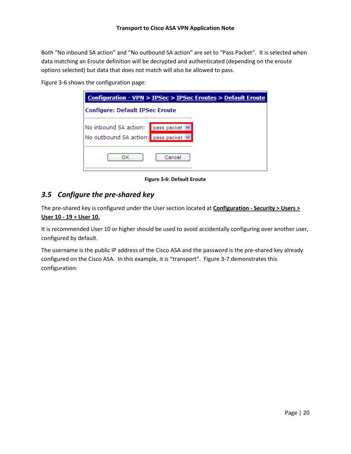Both "No inbound SA action" and "No outbound SA action" are set to "Pass Packet". It is selected when data matching an Eroute definition will be decrypted and authenticated (depending on the eroute options selected) but data that does not match will also be allowed to pass.

Figure 3-6 shows the configuration page:

| Configuration - VPN > IPSec > IPSec Eroutes > Default Eroute                |        |  |  |  |  |  |  |  |  |
|-----------------------------------------------------------------------------|--------|--|--|--|--|--|--|--|--|
| <b>Configure: Default IPSec Eroute</b>                                      |        |  |  |  |  |  |  |  |  |
| No inbound SA action: pass packet v<br>No outbound SA action: pass packet v |        |  |  |  |  |  |  |  |  |
| OK                                                                          | Cancel |  |  |  |  |  |  |  |  |

**Figure 3-6: Default Eroute**

## <span id="page-19-1"></span><span id="page-19-0"></span>*3.5 Configure the pre-shared key*

The pre-shared key is configured under the User section located at **Configuration - Security > Users > User 10 - 19 > User 10.**

It is recommended User 10 or higher should be used to avoid accidentally configuring over another user, configured by default.

The username is the public IP address of the Cisco ASA and the password is the pre-shared key already configured on the Cisco ASA. In this example, it is "transport". Figure 3-7 demonstrates this configuration: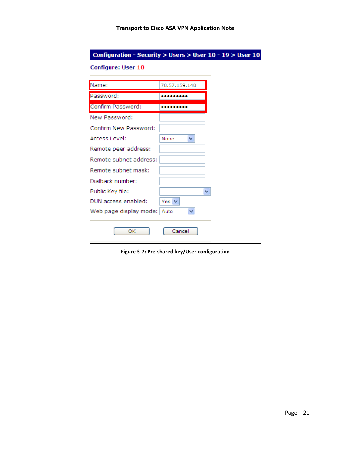| Configuration - Security > Users > User 10 - 19 > User 10 |               |  |  |  |  |  |  |  |
|-----------------------------------------------------------|---------------|--|--|--|--|--|--|--|
| <b>Configure: User 10</b>                                 |               |  |  |  |  |  |  |  |
| Name:                                                     | 70.57.159.140 |  |  |  |  |  |  |  |
| Password:                                                 |               |  |  |  |  |  |  |  |
| Confirm Password:                                         |               |  |  |  |  |  |  |  |
| New Password:                                             |               |  |  |  |  |  |  |  |
| Confirm New Password:                                     |               |  |  |  |  |  |  |  |
| Access Level:                                             | v<br>None     |  |  |  |  |  |  |  |
| Remote peer address:                                      |               |  |  |  |  |  |  |  |
| Remote subnet address:                                    |               |  |  |  |  |  |  |  |
| Remote subnet mask:                                       |               |  |  |  |  |  |  |  |
| Dialback number:                                          |               |  |  |  |  |  |  |  |
| Public Key file:                                          |               |  |  |  |  |  |  |  |
| DUN access enabled:                                       | Yes $\vee$    |  |  |  |  |  |  |  |
| Web page display mode:                                    | Auto          |  |  |  |  |  |  |  |
| OК                                                        | Cancel        |  |  |  |  |  |  |  |

<span id="page-20-0"></span>**Figure 3-7: Pre-shared key/User configuration**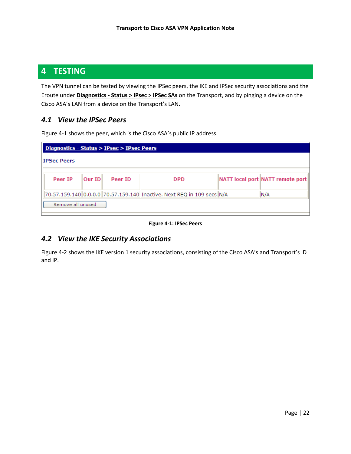## <span id="page-21-0"></span>**4 TESTING**

The VPN tunnel can be tested by viewing the IPSec peers, the IKE and IPSec security associations and the Eroute under **Diagnostics - Status > IPsec > IPSec SAs** on the Transport, and by pinging a device on the Cisco ASA's LAN from a device on the Transport's LAN.

#### <span id="page-21-1"></span>*4.1 View the IPSec Peers*

|  |  | Figure 4-1 shows the peer, which is the Cisco ASA's public IP address. |  |
|--|--|------------------------------------------------------------------------|--|
|--|--|------------------------------------------------------------------------|--|

| Diagnostics - Status > IPsec > IPsec Peers |        |         |                                                                            |  |                                  |  |  |  |  |  |  |
|--------------------------------------------|--------|---------|----------------------------------------------------------------------------|--|----------------------------------|--|--|--|--|--|--|
| <b>IPSec Peers</b>                         |        |         |                                                                            |  |                                  |  |  |  |  |  |  |
|                                            |        |         |                                                                            |  |                                  |  |  |  |  |  |  |
| Peer IP                                    | Our ID | Peer ID | <b>DPD</b>                                                                 |  | NATT local port NATT remote port |  |  |  |  |  |  |
|                                            |        |         |                                                                            |  |                                  |  |  |  |  |  |  |
|                                            |        |         | 70.57.159.140  0.0.0.0  70.57.159.140  Inactive. Next REQ in 109 secs  N/A |  | N/A                              |  |  |  |  |  |  |
| Remove all unused                          |        |         |                                                                            |  |                                  |  |  |  |  |  |  |

#### **Figure 4-1: IPSec Peers**

#### <span id="page-21-3"></span><span id="page-21-2"></span>*4.2 View the IKE Security Associations*

Figure 4-2 shows the IKE version 1 security associations, consisting of the Cisco ASA's and Transport's ID and IP.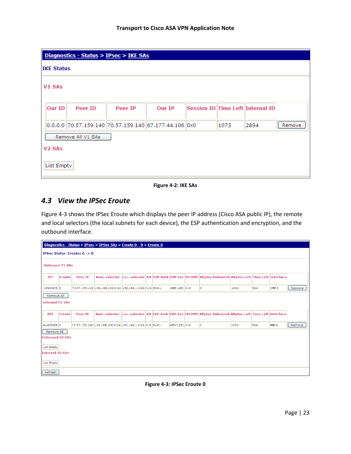|                                | Diagnostics - Status > IPsec > IKE SAs |                                                              |         |        |  |      |                                  |        |  |  |  |
|--------------------------------|----------------------------------------|--------------------------------------------------------------|---------|--------|--|------|----------------------------------|--------|--|--|--|
| <b>IKE Status</b>              |                                        |                                                              |         |        |  |      |                                  |        |  |  |  |
|                                | V1 SAs                                 |                                                              |         |        |  |      |                                  |        |  |  |  |
|                                | Our ID                                 | Peer ID                                                      | Peer IP | Our IP |  |      | Session ID Time Left Internal ID |        |  |  |  |
|                                |                                        | $ 0.0.0.0  70.57.159.140  70.57.159.140  67.177.44.106  0x0$ |         |        |  | 1073 | 2894                             | Remove |  |  |  |
|                                |                                        | Remove All V1 SAs                                            |         |        |  |      |                                  |        |  |  |  |
| V <sub>2</sub> SA <sub>s</sub> |                                        |                                                              |         |        |  |      |                                  |        |  |  |  |
|                                | <b>List Empty</b>                      |                                                              |         |        |  |      |                                  |        |  |  |  |

**Figure 4-2: IKE SAs**

## <span id="page-22-1"></span><span id="page-22-0"></span>*4.3 View the IPSec Eroute*

Figure 4-3 shows the IPSec Eroute which displays the peer IP address (Cisco ASA public IP), the remote and local selectors (the local subnets for each device), the ESP authentication and encryption, and the outbound interface.

| Diagnostics - Status > IPsec > IPSec SAs > Eroute 0 - 9 > Eroute 0                               |                                                                                                                              |         |                                                        |  |  |  |                |  |                                                                                                         |      |     |                  |        |
|--------------------------------------------------------------------------------------------------|------------------------------------------------------------------------------------------------------------------------------|---------|--------------------------------------------------------|--|--|--|----------------|--|---------------------------------------------------------------------------------------------------------|------|-----|------------------|--------|
| <b>IPSec Status: Eroutes <math>0 \rightarrow 0</math></b>                                        |                                                                                                                              |         |                                                        |  |  |  |                |  |                                                                                                         |      |     |                  |        |
|                                                                                                  | <b>Outbound V1 SAs</b>                                                                                                       |         |                                                        |  |  |  |                |  |                                                                                                         |      |     |                  |        |
| <b>SPI</b>                                                                                       | Rem. selector Loc. selector AH ESP Auth ESP Enc IPCOMP KBytes Delivered KBytes Left Time Left Interface<br>Peer IP<br>Eroute |         |                                                        |  |  |  |                |  |                                                                                                         |      |     |                  |        |
| 1560fd53 0                                                                                       |                                                                                                                              |         | 70.57.159.140 192.168.100.0/24 192.168.1.0/24 N/A SHA1 |  |  |  | $AES(128)$ N/A |  | lo.                                                                                                     | 1000 | 924 | PPP <sub>3</sub> | Remove |
| Remove All<br><b>Inbound V1 SAs</b>                                                              |                                                                                                                              |         |                                                        |  |  |  |                |  |                                                                                                         |      |     |                  |        |
| <b>SPI</b>                                                                                       | Eroute                                                                                                                       | Peer IP |                                                        |  |  |  |                |  | Rem. selector Loc. selector AH ESP Auth ESP Enc IPCOMP KBytes Delivered KBytes Left Time Left Interface |      |     |                  |        |
| 4ad059b8 0                                                                                       |                                                                                                                              |         | 70.57.159.140 192.168.100.0/24 192.168.1.0/24 N/A SHA1 |  |  |  | AES(128) N/A   |  | ۱o                                                                                                      | 1000 | 924 | PPP <sub>3</sub> | Remove |
| Remove All<br><b>Outbound V2 SAs</b><br>List Empty<br><b>Inbound V2 SAs</b><br><b>List Empty</b> |                                                                                                                              |         |                                                        |  |  |  |                |  |                                                                                                         |      |     |                  |        |
| Refresh                                                                                          |                                                                                                                              |         |                                                        |  |  |  |                |  |                                                                                                         |      |     |                  |        |

<span id="page-22-2"></span>**Figure 4-3: IPSec Eroute 0**